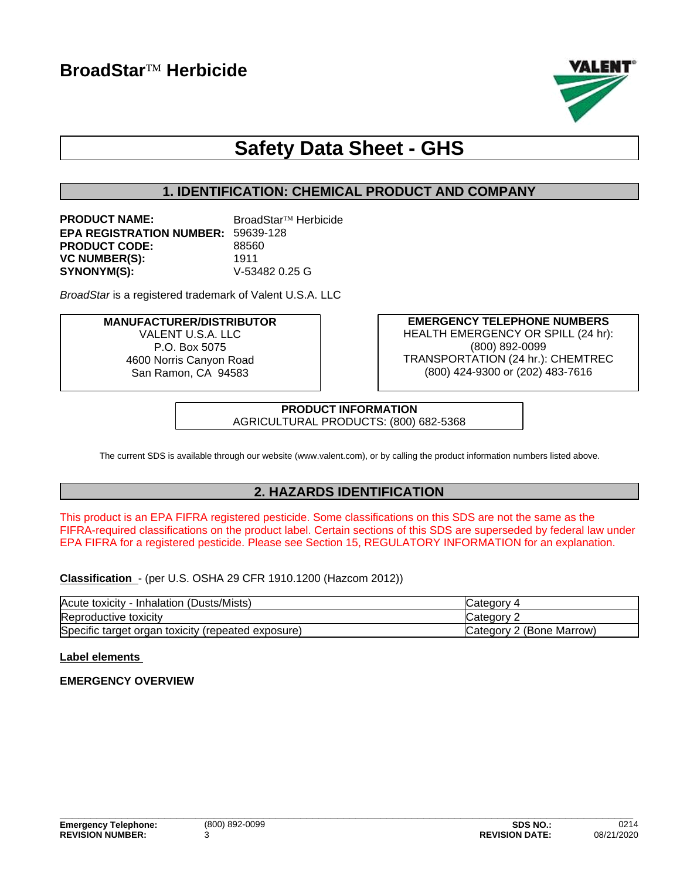

# **Safety Data Sheet - GHS**

# **1. IDENTIFICATION: CHEMICAL PRODUCT AND COMPANY**

| <b>PRODUCT NAME:</b>                      | BroadStar™ Herbicide |
|-------------------------------------------|----------------------|
| <b>EPA REGISTRATION NUMBER: 59639-128</b> |                      |
| <b>PRODUCT CODE:</b>                      | 88560                |
| <b>VC NUMBER(S):</b>                      | 1911                 |
| <b>SYNONYM(S):</b>                        | V-53482 0.25 G       |

*BroadStar* is a registered trademark of Valent U.S.A. LLC

**MANUFACTURER/DISTRIBUTOR** VALENT U.S.A. LLC P.O. Box 5075 4600 Norris Canyon Road San Ramon, CA 94583

**EMERGENCY TELEPHONE NUMBERS** HEALTH EMERGENCY OR SPILL (24 hr): (800) 892-0099 TRANSPORTATION (24 hr.): CHEMTREC (800) 424-9300 or (202) 483-7616

**PRODUCT INFORMATION** AGRICULTURAL PRODUCTS: (800) 682-5368

The current SDS is available through our website (www.valent.com), or by calling the product information numbers listed above.

# **2. HAZARDS IDENTIFICATION**

This product is an EPA FIFRA registered pesticide. Some classifications on this SDS are not the same as the FIFRA-required classifications on the product label. Certain sections of this SDS are superseded by federal law under EPA FIFRA for a registered pesticide. Please see Section 15, REGULATORY INFORMATION for an explanation.

**Classification** - (per U.S. OSHA 29 CFR 1910.1200 (Hazcom 2012))

| (Dusts/Mists)<br>Acute toxicity<br>Inhalation         | ″ ategory۔               |
|-------------------------------------------------------|--------------------------|
| Reproductive toxicity                                 | ∵ategory: مب             |
| Specific target organ toxicity<br>(repeated exposure) | Category 2 (Bone Marrow) |

# **Label elements**

# **EMERGENCY OVERVIEW**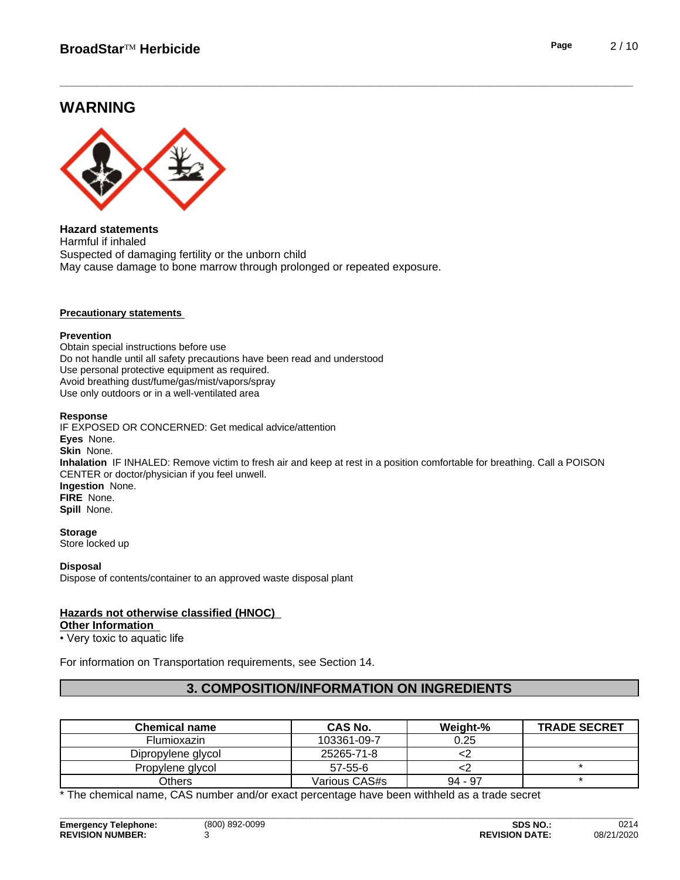# **WARNING**



**Hazard statements** Harmful if inhaled Suspected of damaging fertility or the unborn child May cause damage to bone marrow through prolonged or repeated exposure.

#### **Precautionary statements**

#### **Prevention**

Obtain special instructions before use Do not handle until all safety precautions have been read and understood Use personal protective equipment as required.Avoid breathing dust/fume/gas/mist/vapors/spray Use only outdoors or in a well-ventilated area

#### **Response**

IF EXPOSED OR CONCERNED: Get medical advice/attention **Eyes** None. **Skin** None. **Inhalation** IF INHALED: Remove victim to fresh air and keep at rest in a position comfortable for breathing. Call a POISON CENTER or doctor/physician if you feel unwell. **Ingestion** None. **FIRE** None. **Spill** None.

#### **Storage**

Store locked up

#### **Disposal**

Dispose of contents/container to an approved waste disposal plant

# **Hazards not otherwise classified (HNOC)**

#### **Other Information**

• Very toxic to aquatic life

For information on Transportation requirements, see Section 14.

# **3. COMPOSITION/INFORMATION ON INGREDIENTS**

| <b>Chemical name</b> | <b>CAS No.</b> | Weight-%  | <b>TRADE SECRET</b> |
|----------------------|----------------|-----------|---------------------|
| Flumioxazin          | 103361-09-7    | 0.25      |                     |
| Dipropylene glycol   | 25265-71-8     |           |                     |
| Propylene glycol     | $57 - 55 - 6$  |           |                     |
| Others               | Various CAS#s  | $94 - 97$ |                     |

\* The chemical name, CAS number and/or exact percentage have been withheld as a trade secret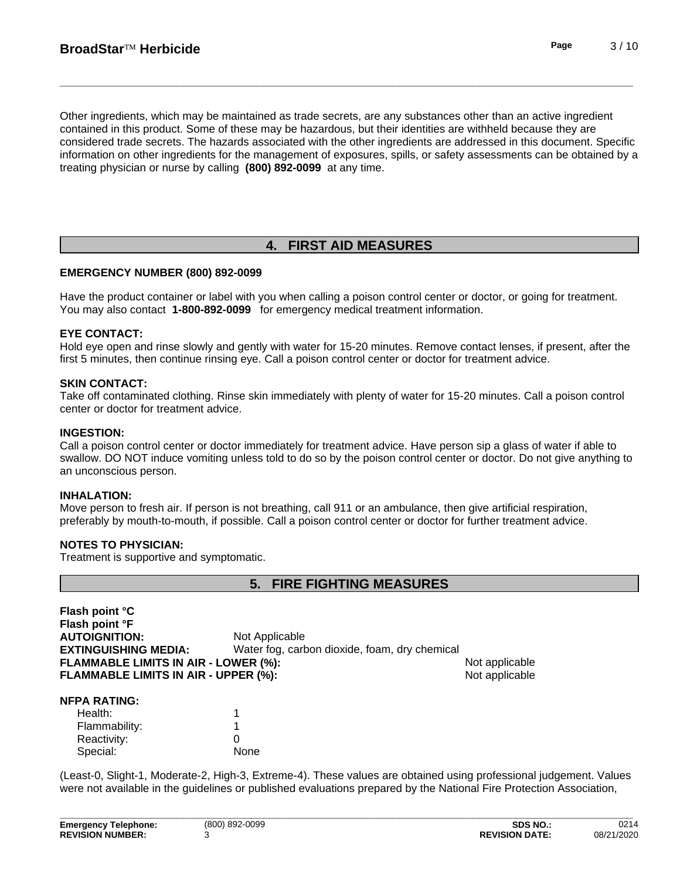Other ingredients, which may be maintained as trade secrets, are any substances other than an active ingredient contained in this product. Some of these may be hazardous, but their identities are withheld because they are considered trade secrets. The hazards associated with the otheringredients are addressed in this document. Specific information on other ingredients for the management of exposures, spills, or safety assessments can be obtained by a treating physician or nurse by calling **(800) 892-0099** at any time.

# **4. FIRST AID MEASURES**

# **EMERGENCY NUMBER (800) 892-0099**

Have the product container or label with you when calling a poison control center or doctor, or going for treatment. You may also contact **1-800-892-0099** for emergency medical treatment information.

## **EYE CONTACT:**

Hold eye open and rinse slowly and gently with water for 15-20 minutes. Remove contact lenses, if present, after the first 5 minutes, then continue rinsing eye. Call a poison control center or doctor for treatment advice.

#### **SKIN CONTACT:**

Take off contaminated clothing. Rinse skin immediately with plenty of water for 15-20 minutes. Call a poison control center or doctor for treatment advice.

#### **INGESTION:**

Call a poison control center or doctor immediately for treatment advice. Have person sip a glass of water if able to swallow. DO NOT induce vomiting unless told to do so by the poison control center or doctor. Do not give anything to an unconscious person.

#### **INHALATION:**

Move person to fresh air. If person is not breathing, call 911 or an ambulance, then give artificial respiration, preferably by mouth-to-mouth, if possible. Call a poison control center or doctor for further treatment advice.

#### **NOTES TO PHYSICIAN:**

Treatment is supportive and symptomatic.

# **5. FIRE FIGHTING MEASURES**

**Flash point °C Flash point °F AUTOIGNITION:** Not Applicable **EXTINGUISHING MEDIA:** Water fog, carbon dioxide, foam, dry chemical **FLAMMABLE LIMITS IN AIR - LOWER (%):** Not applicable **FLAMMABLE LIMITS IN AIR - UPPER (%):** Not applicable

#### **NFPA RATING:**

| Health:       |      |  |
|---------------|------|--|
| Flammability: |      |  |
| Reactivity:   |      |  |
| Special:      | None |  |

(Least-0, Slight-1, Moderate-2, High-3, Extreme-4). These values are obtained using professional judgement. Values were not available in the guidelines or published evaluations prepared by the National Fire Protection Association,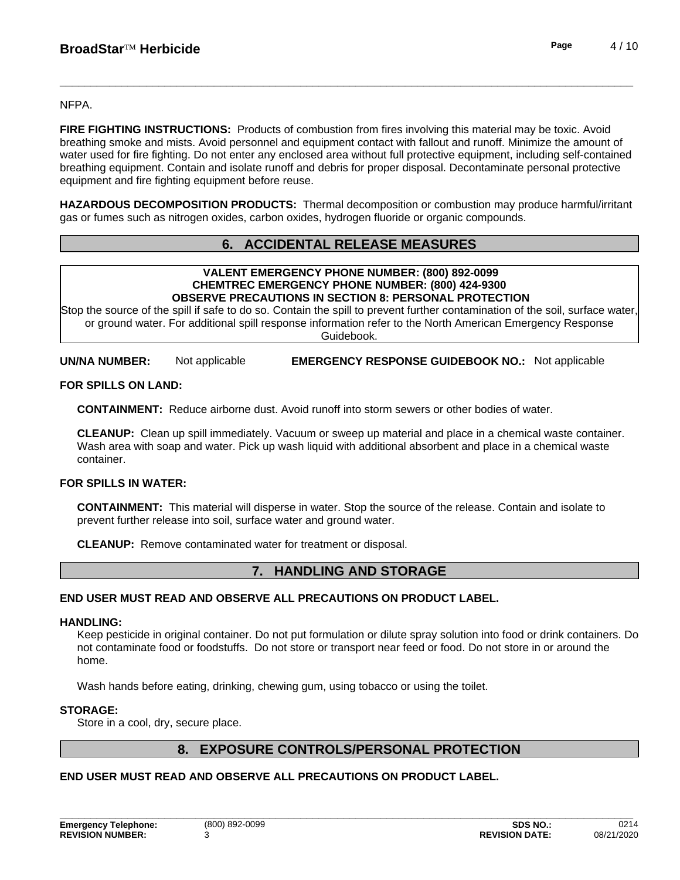NFPA.

**FIRE FIGHTING INSTRUCTIONS:** Products of combustion from fires involving this material may be toxic. Avoid breathing smoke and mists. Avoid personnel and equipment contact with fallout and runoff. Minimize the amount of water used for fire fighting. Do not enter any enclosed area without full protective equipment, including self-contained breathing equipment.Contain and isolate runoff and debris for proper disposal. Decontaminate personal protective equipment and fire fighting equipment before reuse.

**HAZARDOUS DECOMPOSITION PRODUCTS:** Thermal decomposition or combustion may produce harmful/irritant gas or fumes such as nitrogen oxides, carbon oxides, hydrogen fluoride or organic compounds.

# **6. ACCIDENTAL RELEASE MEASURES**

#### **VALENT EMERGENCY PHONE NUMBER: (800) 892-0099 CHEMTREC EMERGENCY PHONE NUMBER: (800) 424-9300 OBSERVE PRECAUTIONS IN SECTION 8: PERSONAL PROTECTION**

Stop the source of the spill if safe to do so. Contain the spill to prevent further contamination of the soil, surface water, or ground water. For additional spill response information refer to the North American Emergency Response Guidebook.

**UN/NA NUMBER:** Not applicable **EMERGENCY RESPONSE GUIDEBOOK NO.:** Not applicable

# **FOR SPILLS ON LAND:**

**CONTAINMENT:** Reduce airborne dust. Avoid runoff into storm sewers or other bodies of water.

**CLEANUP:** Clean up spill immediately. Vacuum or sweep up material and place in a chemical waste container. Wash area with soap and water. Pick up wash liquid with additional absorbent and place in a chemical waste container.

# **FOR SPILLS IN WATER:**

**CONTAINMENT:** This material will disperse in water. Stop the source of the release. Contain and isolate to prevent further release into soil, surface water and ground water.

**CLEANUP:** Remove contaminated water for treatment or disposal.

# **7. HANDLING AND STORAGE**

# **END USER MUST READ AND OBSERVE ALL PRECAUTIONS ON PRODUCT LABEL.**

#### **HANDLING:**

Keep pesticide in original container. Do not put formulation or dilute spray solution into food or drink containers. Do not contaminate food or foodstuffs. Do not store or transport near feed or food. Do not store in or around the home.

Wash hands before eating, drinking, chewing gum, using tobacco or using the toilet.

# **STORAGE:**

Store in a cool, dry, secure place.

# **8. EXPOSURE CONTROLS/PERSONAL PROTECTION**

# **END USER MUST READ AND OBSERVE ALL PRECAUTIONS ON PRODUCT LABEL.**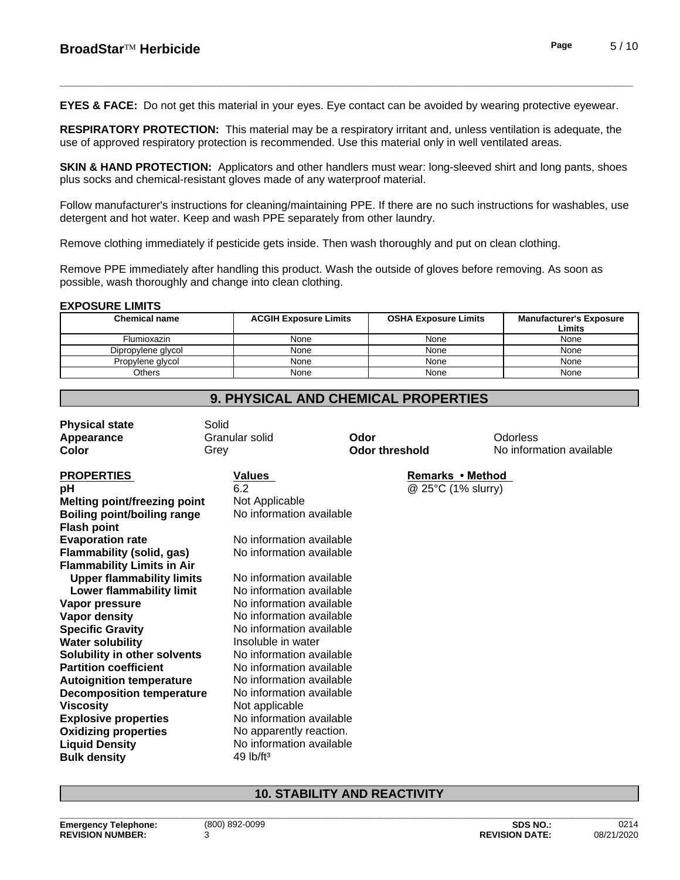**EYES & FACE:** Do not get this material in your eyes. Eye contact can be avoided by wearing protective eyewear.

**RESPIRATORY PROTECTION:** This material may be a respiratory irritant and, unless ventilation is adequate, the use of approved respiratory protection is recommended. Use this material only in well ventilated areas.

**SKIN & HAND PROTECTION:** Applicators and other handlers must wear: long-sleeved shirt and long pants, shoes plus socks and chemical-resistant gloves made of any waterproof material.

Follow manufacturer's instructions for cleaning/maintaining PPE. If there are no such instructions for washables, use detergent and hot water. Keep and wash PPE separately from other laundry.

Remove clothing immediately if pesticide gets inside. Then wash thoroughly and put on clean clothing.

Remove PPE immediately after handling this product. Wash the outside of gloves before removing. As soon as possible, wash thoroughly and change into clean clothing.

## **EXPOSURE LIMITS**

| <b>Chemical name</b> | <b>ACGIH Exposure Limits</b> | <b>OSHA Exposure Limits</b> | <b>Manufacturer's Exposure</b><br>Limits |
|----------------------|------------------------------|-----------------------------|------------------------------------------|
| Flumioxazin          | None                         | None                        | None                                     |
| Dipropylene glycol   | None                         | None                        | None                                     |
| Propylene glycol     | None                         | None                        | None                                     |
| Others               | None                         | None                        | None                                     |

**9. PHYSICAL AND CHEMICAL PROPERTIES**

| <b>Physical state</b>               | Solid                    |                       |                          |
|-------------------------------------|--------------------------|-----------------------|--------------------------|
| Appearance                          | Granular solid           | Odor                  | Odorless                 |
| Color                               | Grey                     | <b>Odor threshold</b> | No information available |
| <b>PROPERTIES</b>                   | <b>Values</b>            | Remarks • Method      |                          |
| рH                                  | 6.2                      | @ 25°C (1% slurry)    |                          |
| <b>Melting point/freezing point</b> | Not Applicable           |                       |                          |
| <b>Boiling point/boiling range</b>  | No information available |                       |                          |
| <b>Flash point</b>                  |                          |                       |                          |
| <b>Evaporation rate</b>             | No information available |                       |                          |
| Flammability (solid, gas)           | No information available |                       |                          |
| <b>Flammability Limits in Air</b>   |                          |                       |                          |
| <b>Upper flammability limits</b>    | No information available |                       |                          |
| Lower flammability limit            | No information available |                       |                          |
| Vapor pressure                      | No information available |                       |                          |
| Vapor density                       | No information available |                       |                          |
| <b>Specific Gravity</b>             | No information available |                       |                          |
| <b>Water solubility</b>             | Insoluble in water       |                       |                          |
| Solubility in other solvents        | No information available |                       |                          |
| <b>Partition coefficient</b>        | No information available |                       |                          |
| <b>Autoignition temperature</b>     | No information available |                       |                          |
| <b>Decomposition temperature</b>    | No information available |                       |                          |
| <b>Viscosity</b>                    | Not applicable           |                       |                          |
| <b>Explosive properties</b>         | No information available |                       |                          |
| <b>Oxidizing properties</b>         | No apparently reaction.  |                       |                          |
| <b>Liquid Density</b>               | No information available |                       |                          |
| <b>Bulk density</b>                 | $49$ lb/ft <sup>3</sup>  |                       |                          |
|                                     |                          |                       |                          |

# **10. STABILITY AND REACTIVITY**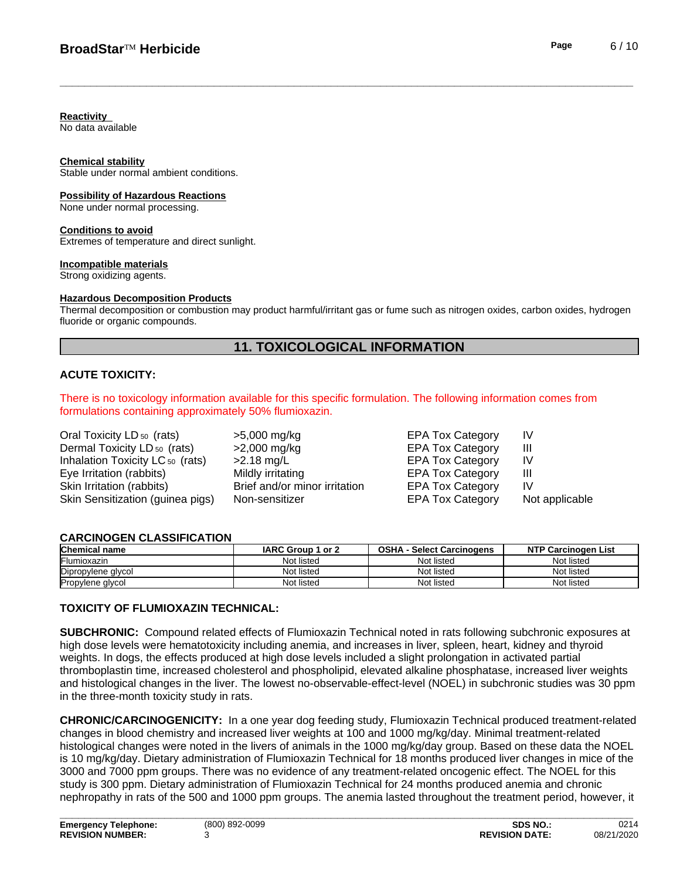#### **Reactivity**

No data available

#### **Chemical stability**

Stable under normal ambient conditions.

#### **Possibility of Hazardous Reactions**

None under normal processing.

#### **Conditions to avoid**

Extremes of temperature and direct sunlight.

#### **Incompatible materials**

Strong oxidizing agents.

#### **Hazardous Decomposition Products**

Thermal decomposition or combustion may product harmful/irritant gas or fume such as nitrogen oxides, carbon oxides, hydrogen fluoride or organic compounds.

# **11. TOXICOLOGICAL INFORMATION**

## **ACUTE TOXICITY:**

There is no toxicology information available for this specific formulation. The following information comes from formulations containing approximately 50% flumioxazin.

| Oral Toxicity LD <sub>50</sub> (rats)       | $>5,000$ mg/kg                | <b>EPA Tox Category</b> | IV             |
|---------------------------------------------|-------------------------------|-------------------------|----------------|
| Dermal Toxicity LD 50 (rats)                | $>2,000$ mg/kg                | <b>EPA Tox Category</b> | Ш              |
| Inhalation Toxicity LC <sub>50</sub> (rats) | $>2.18$ mg/L                  | <b>EPA Tox Category</b> | IV             |
| Eye Irritation (rabbits)                    | Mildly irritating             | <b>EPA Tox Category</b> | Ш              |
| Skin Irritation (rabbits)                   | Brief and/or minor irritation | <b>EPA Tox Category</b> | IV.            |
| Skin Sensitization (guinea pigs)            | Non-sensitizer                | <b>EPA Tox Category</b> | Not applicable |

#### **CARCINOGEN CLASSIFICATION**

| <b>Chemical name</b> | IARC Group 1 or 2 | <b>OSHA</b><br><b>Select Carcinogens</b> | <b>NTP Carcinogen List</b> |
|----------------------|-------------------|------------------------------------------|----------------------------|
| <b>IFlumioxazin</b>  | Not listed        | Not listed                               | Not listed                 |
| Dipropylene glycol   | Not listed        | Not listed                               | Not listed                 |
| Propylene glycol     | Not listed        | Not listed                               | Not listed                 |

# **TOXICITY OF FLUMIOXAZIN TECHNICAL:**

**SUBCHRONIC:** Compound related effects of Flumioxazin Technical noted in rats following subchronic exposures at high dose levels were hematotoxicity including anemia, and increases in liver, spleen, heart, kidney and thyroid weights. In dogs, the effects produced at high dose levels included a slight prolongation in activated partial thromboplastin time, increased cholesterol and phospholipid, elevated alkaline phosphatase, increased liver weights and histological changes in the liver. The lowest no-observable-effect-level (NOEL) in subchronic studies was 30 ppm in the three-month toxicity study in rats.

**CHRONIC/CARCINOGENICITY:** In a one year dog feeding study, Flumioxazin Technical produced treatment-related changes in blood chemistry and increased liver weights at 100 and 1000 mg/kg/day. Minimal treatment-related histological changes were noted in the livers of animals in the 1000 mg/kg/day group. Based on these data the NOEL is 10 mg/kg/day. Dietary administration of Flumioxazin Technical for 18 months produced liver changes in mice of the 3000 and 7000 ppm groups. There was no evidence of any treatment-related oncogenic effect. The NOEL for this study is 300 ppm. Dietary administration of Flumioxazin Technical for 24 months produced anemia and chronic nephropathy in rats of the 500 and 1000 ppm groups. The anemia lasted throughout the treatment period, however, it

**\_\_\_\_\_\_\_\_\_\_\_\_\_\_\_\_\_\_\_\_\_\_\_\_\_\_\_\_\_\_\_\_\_\_\_\_\_\_\_\_\_\_\_\_\_\_\_\_\_\_\_\_\_\_\_\_\_\_\_\_\_\_\_\_\_\_\_\_\_\_\_\_\_\_\_\_\_\_\_\_\_\_\_\_\_\_\_\_\_\_\_\_\_**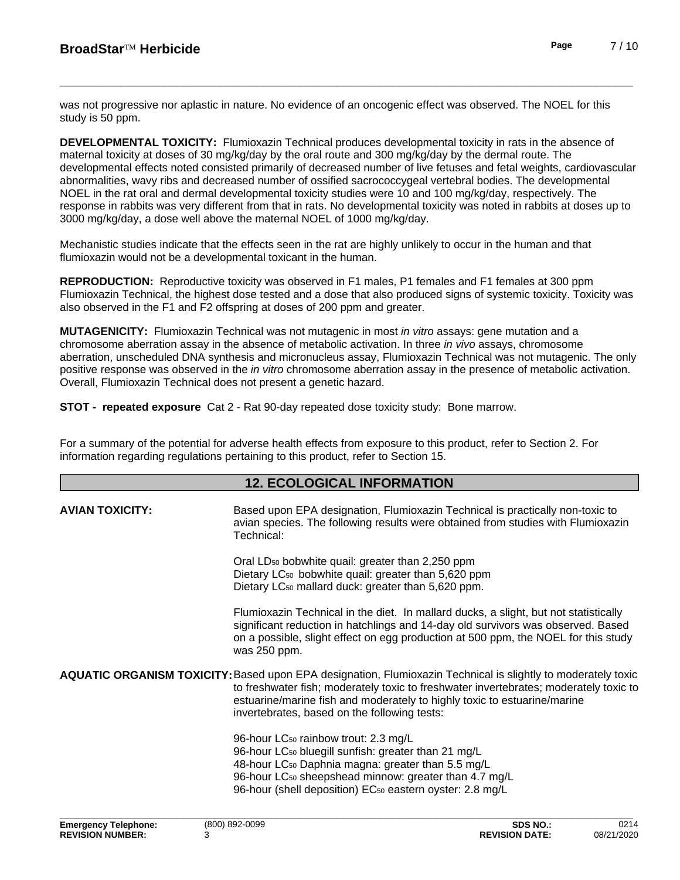was not progressive nor aplastic in nature. No evidence of an oncogenic effect was observed. The NOEL for this study is 50 ppm.

**DEVELOPMENTAL TOXICITY:**Flumioxazin Technical produces developmental toxicity in rats in the absence of maternal toxicity at doses of 30 mg/kg/day by the oral route and 300 mg/kg/day by the dermal route. The developmental effects noted consisted primarily of decreased number oflive fetuses and fetal weights, cardiovascular abnormalities, wavy ribs and decreased number of ossified sacrococcygeal vertebral bodies. The developmental NOEL in the rat oral and dermal developmental toxicity studies were 10 and 100 mg/kg/day, respectively. The response in rabbits was very different from that in rats. No developmental toxicity was noted in rabbits at doses up to 3000 mg/kg/day, a dose well above the maternal NOEL of 1000 mg/kg/day.

Mechanistic studies indicate that the effects seen in the rat are highly unlikely to occur in the human and that flumioxazin would not be a developmental toxicant in the human.

**REPRODUCTION:** Reproductive toxicity was observed in F1 males, P1 females and F1 females at 300 ppm Flumioxazin Technical, the highest dose tested and a dose that also produced signs of systemic toxicity. Toxicity was also observed in the F1 and F2 offspring at doses of 200 ppm and greater.

**MUTAGENICITY:** Flumioxazin Technical was not mutagenic in most *in vitro* assays: gene mutation and a chromosome aberration assay in the absence of metabolic activation. In three *in vivo* assays, chromosome aberration, unscheduled DNA synthesis and micronucleus assay, Flumioxazin Technical was not mutagenic. The only positive response was observed in the *in vitro* chromosome aberration assay in the presence of metabolic activation. Overall, Flumioxazin Technical does not present a genetic hazard.

**STOT - repeated exposure** Cat 2 - Rat 90-day repeated dose toxicity study: Bone marrow.

For a summary of the potential for adverse health effects from exposure to this product, refer to Section 2. For information regarding regulations pertaining to this product, refer to Section 15.

# **12. ECOLOGICAL INFORMATION**

| <b>AVIAN TOXICITY:</b> | Based upon EPA designation, Flumioxazin Technical is practically non-toxic to<br>avian species. The following results were obtained from studies with Flumioxazin<br>Technical:                                                                                                                                                          |
|------------------------|------------------------------------------------------------------------------------------------------------------------------------------------------------------------------------------------------------------------------------------------------------------------------------------------------------------------------------------|
|                        | Oral LD <sub>50</sub> bobwhite quail: greater than 2,250 ppm<br>Dietary LC <sub>50</sub> bobwhite quail: greater than 5,620 ppm<br>Dietary LC <sub>50</sub> mallard duck: greater than 5,620 ppm.                                                                                                                                        |
|                        | Flumioxazin Technical in the diet. In mallard ducks, a slight, but not statistically<br>significant reduction in hatchlings and 14-day old survivors was observed. Based<br>on a possible, slight effect on egg production at 500 ppm, the NOEL for this study<br>was 250 ppm.                                                           |
|                        | <b>AQUATIC ORGANISM TOXICITY:</b> Based upon EPA designation, Flumioxazin Technical is slightly to moderately toxic<br>to freshwater fish; moderately toxic to freshwater invertebrates; moderately toxic to<br>estuarine/marine fish and moderately to highly toxic to estuarine/marine<br>invertebrates, based on the following tests: |
|                        | 96-hour LC <sub>50</sub> rainbow trout: 2.3 mg/L<br>96-hour LC <sub>50</sub> bluegill sunfish: greater than 21 mg/L<br>48-hour LC <sub>50</sub> Daphnia magna: greater than 5.5 mg/L<br>96-hour LC <sub>50</sub> sheepshead minnow: greater than 4.7 mg/L<br>96-hour (shell deposition) EC <sub>50</sub> eastern oyster: 2.8 mg/L        |
|                        |                                                                                                                                                                                                                                                                                                                                          |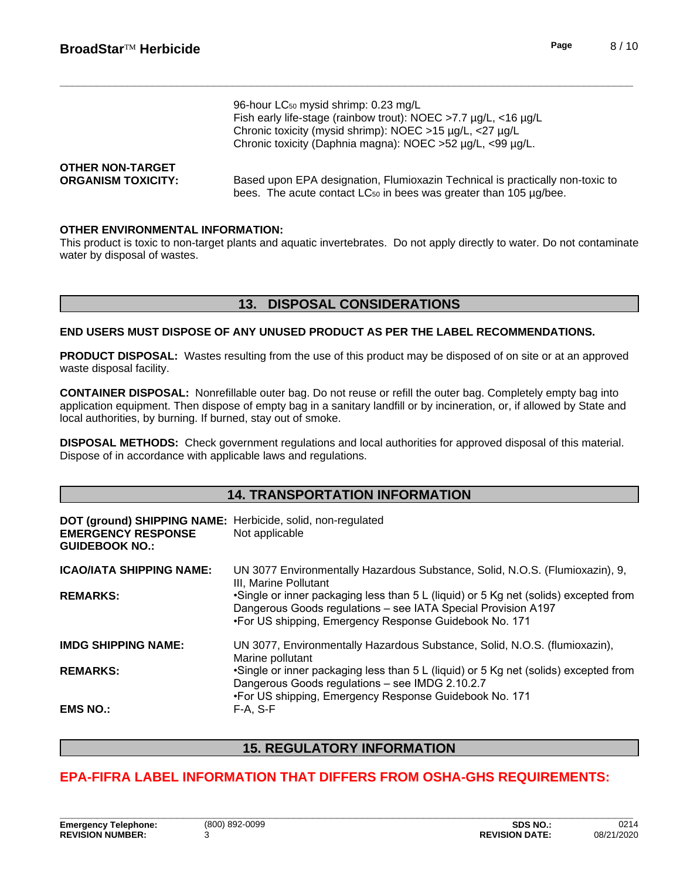|                           | 96-hour LC <sub>50</sub> mysid shrimp: 0.23 mg/L<br>Fish early life-stage (rainbow trout): NOEC >7.7 µg/L, <16 µg/L<br>Chronic toxicity (mysid shrimp): NOEC >15 µg/L, <27 µg/L<br>Chronic toxicity (Daphnia magna): NOEC >52 µg/L, <99 µg/L. |
|---------------------------|-----------------------------------------------------------------------------------------------------------------------------------------------------------------------------------------------------------------------------------------------|
| <b>OTHER NON-TARGET</b>   | Based upon EPA designation, Flumioxazin Technical is practically non-toxic to                                                                                                                                                                 |
| <b>ORGANISM TOXICITY:</b> | bees. The acute contact LC <sub>50</sub> in bees was greater than 105 µg/bee.                                                                                                                                                                 |

#### **OTHER ENVIRONMENTAL INFORMATION:**

This product is toxic to non-target plants and aquatic invertebrates. Do not apply directly to water. Do not contaminate water by disposal of wastes.

# **13. DISPOSAL CONSIDERATIONS**

**END USERS MUST DISPOSE OF ANY UNUSED PRODUCT AS PER THE LABEL RECOMMENDATIONS.**

**PRODUCT DISPOSAL:** Wastes resulting from the use of this product may be disposed of on site or at an approved waste disposal facility.

**CONTAINER DISPOSAL:** Nonrefillable outer bag. Do not reuse or refillthe outer bag. Completely empty bag into application equipment. Then dispose of empty bag in a sanitary landfill or by incineration, or, if allowed by State and local authorities, by burning. If burned, stay out of smoke.

**DISPOSAL METHODS:** Check government regulations and local authorities for approved disposal of this material. Dispose of in accordance with applicable laws and regulations.

# **14. TRANSPORTATION INFORMATION**

| DOT (ground) SHIPPING NAME: Herbicide, solid, non-regulated<br><b>EMERGENCY RESPONSE</b><br><b>GUIDEBOOK NO.:</b> | Not applicable                                                                                                                                                                                                  |
|-------------------------------------------------------------------------------------------------------------------|-----------------------------------------------------------------------------------------------------------------------------------------------------------------------------------------------------------------|
| <b>ICAO/IATA SHIPPING NAME:</b>                                                                                   | UN 3077 Environmentally Hazardous Substance, Solid, N.O.S. (Flumioxazin), 9,<br>III. Marine Pollutant                                                                                                           |
| <b>REMARKS:</b>                                                                                                   | •Single or inner packaging less than 5 L (liquid) or 5 Kg net (solids) excepted from<br>Dangerous Goods regulations - see IATA Special Provision A197<br>•For US shipping, Emergency Response Guidebook No. 171 |
| <b>IMDG SHIPPING NAME:</b>                                                                                        | UN 3077, Environmentally Hazardous Substance, Solid, N.O.S. (flumioxazin),<br>Marine pollutant                                                                                                                  |
| <b>REMARKS:</b>                                                                                                   | •Single or inner packaging less than 5 L (liquid) or 5 Kg net (solids) excepted from<br>Dangerous Goods regulations - see IMDG 2.10.2.7<br>•For US shipping, Emergency Response Guidebook No. 171               |
| <b>EMS NO.:</b>                                                                                                   | $F-A, S-F$                                                                                                                                                                                                      |

# **15. REGULATORY INFORMATION**

# **EPA-FIFRA LABEL INFORMATION THAT DIFFERS FROM OSHA-GHS REQUIREMENTS:**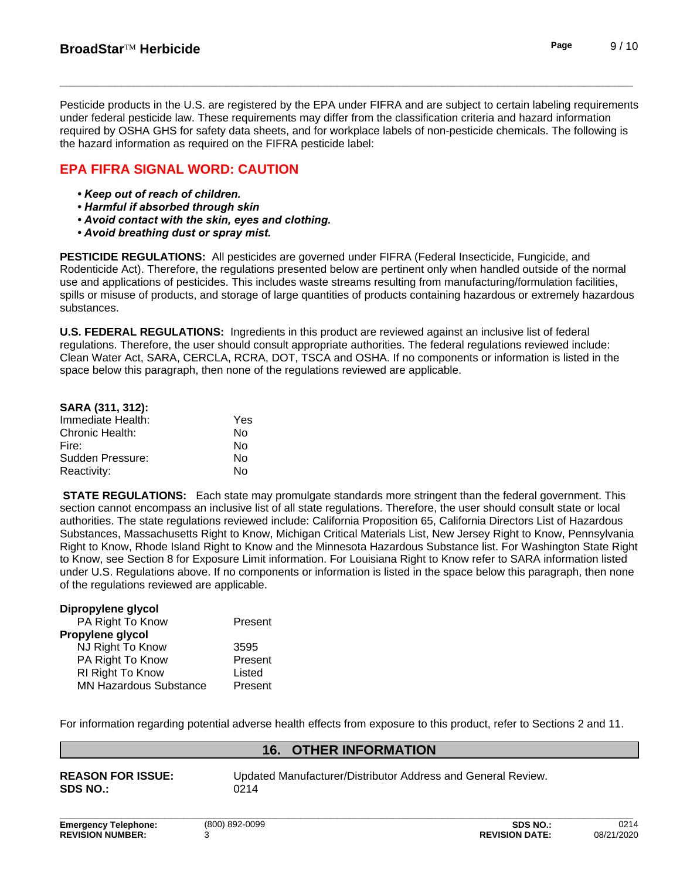Pesticide products in the U.S. are registered by the EPA under FIFRA and are subject to certain labeling requirements under federal pesticide law. These requirements may differ from the classification criteria and hazard information required by OSHA GHS for safety data sheets, and for workplace labels of non-pesticide chemicals. The following is

**EPA FIFRA SIGNAL WORD: CAUTION**

the hazard information as required on the FIFRA pesticide label:

- *•Keepoutofreachofchildren.*
- **Harmful if absorbed through skin**
- **Avoid contact with the skin, eyes and clothing.**
- **Avoid breathing dust or spray mist.**

**PESTICIDE REGULATIONS:** All pesticides are governed under FIFRA (Federal Insecticide, Fungicide, and Rodenticide Act). Therefore, the regulations presented below are pertinent only when handled outside of the normal use and applications of pesticides. This includes waste streams resulting from manufacturing/formulation facilities, spills or misuse of products, and storage of large quantities of products containing hazardous or extremely hazardous substances.

**U.S. FEDERAL REGULATIONS:** Ingredients in this product are reviewed against an inclusive list of federal regulations. Therefore, the user should consult appropriate authorities. The federal regulations reviewed include: Clean Water Act, SARA, CERCLA, RCRA, DOT, TSCA and OSHA. If no components or information islisted in the space below this paragraph, then none of the regulations reviewed are applicable.

| SARA (311, 312):  |     |  |
|-------------------|-----|--|
| Immediate Health: | Yes |  |
| Chronic Health:   | N٥  |  |
| Fire:             | N٥  |  |
| Sudden Pressure:  | N٥  |  |
| Reactivity:       | N٥  |  |

**STATE REGULATIONS:** Each state may promulgate standards more stringent than the federal government. This section cannot encompass an inclusive list of all state regulations. Therefore, the user should consult state or local authorities. The state regulations reviewed include: California Proposition 65, California Directors List of Hazardous Substances, Massachusetts Right to Know, Michigan Critical Materials List, New Jersey Right to Know, Pennsylvania Right to Know, Rhode Island Right to Know and the Minnesota Hazardous Substance list. For Washington State Right to Know, see Section 8 for Exposure Limit information. For Louisiana Right to Know refer to SARA information listed under U.S. Regulations above. If no components or information is listed in the space below this paragraph, then none of the regulations reviewed are applicable.

| Dipropylene glycol            |         |
|-------------------------------|---------|
| PA Right To Know              | Present |
| Propylene glycol              |         |
| NJ Right To Know              | 3595    |
| PA Right To Know              | Present |
| RI Right To Know              | Listed  |
| <b>MN Hazardous Substance</b> | Present |

For information regarding potential adverse health effects from exposure to this product, refer to Sections 2 and 11.

# **16. OTHER INFORMATION**

**SDS NO.:** 0214

**REASON FOR ISSUE:** Updated Manufacturer/Distributor Address and General Review.